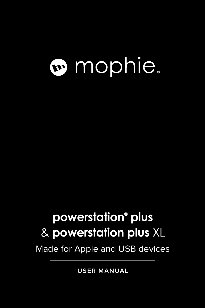# mophie.

### **powerstation® plus** & **powerstation plus** XL

Made for Apple and USB devices

**USER MANUAL**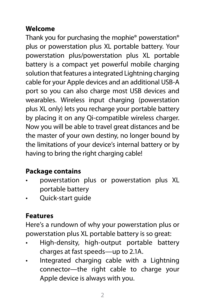#### **Welcome**

Thank you for purchasing the mophie® powerstation® plus or powerstation plus XL portable battery. Your powerstation plus/powerstation plus XL portable battery is a compact yet powerful mobile charging solution that features a integrated Lightning charging cable for your Apple devices and an additional USB-A port so you can also charge most USB devices and wearables. Wireless input charging (powerstation plus XL only) lets you recharge your portable battery by placing it on any Qi-compatible wireless charger. Now you will be able to travel great distances and be the master of your own destiny, no longer bound by the limitations of your device's internal battery or by having to bring the right charging cable!

#### **Package contains**

- powerstation plus or powerstation plus XL portable battery
- Quick-start guide

#### **Features**

Here's a rundown of why your powerstation plus or powerstation plus XL portable battery is so great:

- High-density, high-output portable battery charges at fast speeds—up to 2.1A.
- Integrated charging cable with a Lightning connector—the right cable to charge your Apple device is always with you.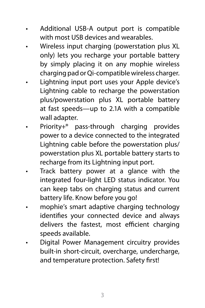- Additional USB-A output port is compatible with most USB devices and wearables.
- Wireless input charging (powerstation plus XL only) lets you recharge your portable battery by simply placing it on any mophie wireless charging pad or Qi-compatible wireless charger.
- Lightning input port uses your Apple device's Lightning cable to recharge the powerstation plus/powerstation plus XL portable battery at fast speeds—up to 2.1A with a compatible wall adapter.
- Priority+® pass-through charging provides power to a device connected to the integrated Lightning cable before the powerstation plus/ powerstation plus XL portable battery starts to recharge from its Lightning input port.
- Track battery power at a glance with the integrated four-light LED status indicator. You can keep tabs on charging status and current battery life. Know before you go!
- mophie's smart adaptive charging technology identifies your connected device and always delivers the fastest, most efficient charging speeds available.
- Digital Power Management circuitry provides built-in short-circuit, overcharge, undercharge, and temperature protection. Safety first!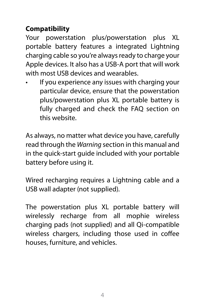#### **Compatibility**

Your powerstation plus/powerstation plus XL portable battery features a integrated Lightning charging cable so you're always ready to charge your Apple devices. It also has a USB-A port that will work with most USB devices and wearables.

If you experience any issues with charging your particular device, ensure that the powerstation plus/powerstation plus XL portable battery is fully charged and check the FAQ section on this website.

As always, no matter what device you have, carefully read through the *Warning* section in this manual and in the quick-start guide included with your portable battery before using it.

Wired recharging requires a Lightning cable and a USB wall adapter (not supplied).

The powerstation plus XL portable battery will wirelessly recharge from all mophie wireless charging pads (not supplied) and all Qi-compatible wireless chargers, including those used in coffee houses, furniture, and vehicles.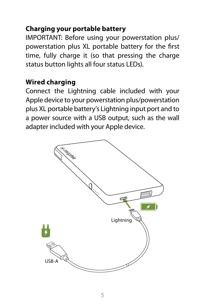#### **Charging your portable battery**

IMPORTANT: Before using your powerstation plus/ powerstation plus XL portable battery for the first time, fully charge it (so that pressing the charge status button lights all four status LEDs).

#### **Wired charging**

Connect the Lightning cable included with your Apple device to your powerstation plus/powerstation plus XL portable battery's Lightning input port and to a power source with a USB output, such as the wall adapter included with your Apple device.

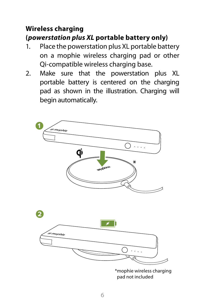#### **Wireless charging (***powerstation plus XL* **portable battery only)**

- 1. Place the powerstation plus XL portable battery on a mophie wireless charging pad or other Qi-compatible wireless charging base.
- 2. Make sure that the powerstation plus XL portable battery is centered on the charging pad as shown in the illustration. Charging will begin automatically.

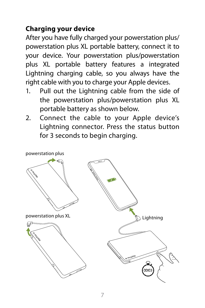#### **Charging your device**

After you have fully charged your powerstation plus/ powerstation plus XL portable battery, connect it to your device. Your powerstation plus/powerstation plus XL portable battery features a integrated Lightning charging cable, so you always have the right cable with you to charge your Apple devices.

- 1. Pull out the Lightning cable from the side of the powerstation plus/powerstation plus XL portable battery as shown below.
- 2. Connect the cable to your Apple device's Lightning connector. Press the status button for 3 seconds to begin charging.

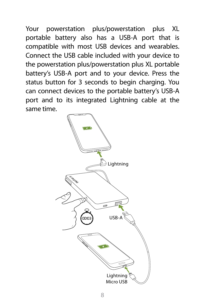Your powerstation plus/powerstation plus XL portable battery also has a USB-A port that is compatible with most USB devices and wearables. Connect the USB cable included with your device to the powerstation plus/powerstation plus XL portable battery's USB-A port and to your device. Press the status button for 3 seconds to begin charging. You can connect devices to the portable battery's USB-A port and to its integrated Lightning cable at the same time.

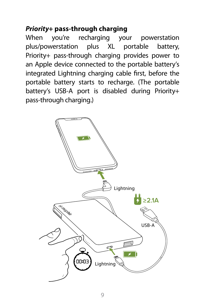#### *Priority+* **pass-through charging**

When you're recharging your powerstation plus/powerstation plus XL portable battery, Priority+ pass-through charging provides power to an Apple device connected to the portable battery's integrated Lightning charging cable first, before the portable battery starts to recharge. (The portable battery's USB-A port is disabled during Priority+ pass-through charging.)

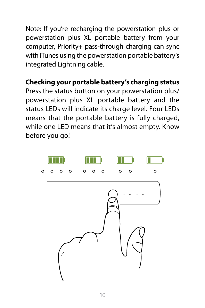Note: If you're recharging the powerstation plus or powerstation plus XL portable battery from your computer, Priority+ pass-through charging can sync with iTunes using the powerstation portable battery's integrated Lightning cable.

#### **Checking your portable battery's charging status**

Press the status button on your powerstation plus/ powerstation plus XL portable battery and the status LEDs will indicate its charge level. Four LEDs means that the portable battery is fully charged, while one LED means that it's almost empty. Know before you go!

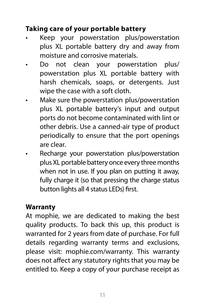#### **Taking care of your portable battery**

- Keep your powerstation plus/powerstation plus XL portable battery dry and away from moisture and corrosive materials.
- Do not clean your powerstation plus/ powerstation plus XL portable battery with harsh chemicals, soaps, or detergents. Just wipe the case with a soft cloth.
- Make sure the powerstation plus/powerstation plus XL portable battery's input and output ports do not become contaminated with lint or other debris. Use a canned-air type of product periodically to ensure that the port openings are clear.
- Recharge your powerstation plus/powerstation plus XL portable battery once every three months when not in use. If you plan on putting it away, fully charge it (so that pressing the charge status button lights all 4 status LEDs) first.

#### **Warranty**

At mophie, we are dedicated to making the best quality products. To back this up, this product is warranted for 2 years from date of purchase. For full details regarding warranty terms and exclusions, please visit: [mophie.com/warranty](http://www.mophie.com/warranty). This warranty does not affect any statutory rights that you may be entitled to. Keep a copy of your purchase receipt as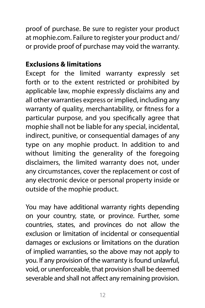proof of purchase. Be sure to register your product at [mophie.com.](http://www.mophie.com) Failure to register your product and/ or provide proof of purchase may void the warranty.

#### **Exclusions & limitations**

Except for the limited warranty expressly set forth or to the extent restricted or prohibited by applicable law, mophie expressly disclaims any and all other warranties express or implied, including any warranty of quality, merchantability, or fitness for a particular purpose, and you specifically agree that mophie shall not be liable for any special, incidental, indirect, punitive, or consequential damages of any type on any mophie product. In addition to and without limiting the generality of the foregoing disclaimers, the limited warranty does not, under any circumstances, cover the replacement or cost of any electronic device or personal property inside or outside of the mophie product.

You may have additional warranty rights depending on your country, state, or province. Further, some countries, states, and provinces do not allow the exclusion or limitation of incidental or consequential damages or exclusions or limitations on the duration of implied warranties, so the above may not apply to you. If any provision of the warranty is found unlawful, void, or unenforceable, that provision shall be deemed severable and shall not affect any remaining provision.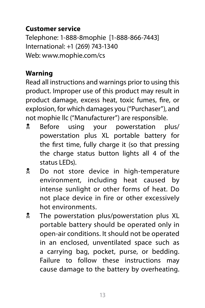#### **Customer service**

Telephone: 1-888-8mophie [1-888-866-7443] International: +1 (269) 743-1340 Web: [www.mophie.com/cs](https://support.mophie.com/hc/en-us)

#### **Warning**

Read all instructions and warnings prior to using this product. Improper use of this product may result in product damage, excess heat, toxic fumes, fire, or explosion, for which damages you ("Purchaser"), and not mophie llc ("Manufacturer") are responsible.

- **E** Before using your powerstation plus/ powerstation plus XL portable battery for the first time, fully charge it (so that pressing the charge status button lights all 4 of the status LEDs).
- **L** Do not store device in high-temperature environment, including heat caused by intense sunlight or other forms of heat. Do not place device in fire or other excessively hot environments.
- **I** The powerstation plus/powerstation plus XL portable battery should be operated only in open-air conditions. It should not be operated in an enclosed, unventilated space such as a carrying bag, pocket, purse, or bedding. Failure to follow these instructions may cause damage to the battery by overheating.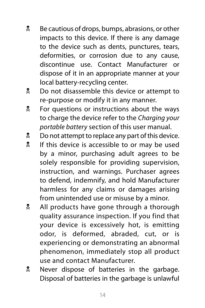- **E** Be cautious of drops, bumps, abrasions, or other impacts to this device. If there is any damage to the device such as dents, punctures, tears, deformities, or corrosion due to any cause, discontinue use. Contact Manufacturer or dispose of it in an appropriate manner at your local battery-recycling center.
- **Let** Do not disassemble this device or attempt to re-purpose or modify it in any manner.
- **EX** For questions or instructions about the ways to charge the device refer to the *Charging your portable battery* section of this user manual.
- $\frac{1}{2}$  Do not attempt to replace any part of this device.
- If this device is accessible to or may be used by a minor, purchasing adult agrees to be solely responsible for providing supervision, instruction, and warnings. Purchaser agrees to defend, indemnify, and hold Manufacturer harmless for any claims or damages arising from unintended use or misuse by a minor.
- **All products have gone through a thorough** quality assurance inspection. If you find that your device is excessively hot, is emitting odor, is deformed, abraded, cut, or is experiencing or demonstrating an abnormal phenomenon, immediately stop all product use and contact Manufacturer.
- **EXECUTE:** Never dispose of batteries in the garbage. Disposal of batteries in the garbage is unlawful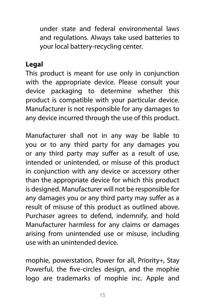under state and federal environmental laws and regulations. Always take used batteries to your local battery-recycling center.

#### **Legal**

This product is meant for use only in conjunction with the appropriate device. Please consult your device packaging to determine whether this product is compatible with your particular device. Manufacturer is not responsible for any damages to any device incurred through the use of this product.

Manufacturer shall not in any way be liable to you or to any third party for any damages you or any third party may suffer as a result of use, intended or unintended, or misuse of this product in conjunction with any device or accessory other than the appropriate device for which this product is designed. Manufacturer will not be responsible for any damages you or any third party may suffer as a result of misuse of this product as outlined above. Purchaser agrees to defend, indemnify, and hold Manufacturer harmless for any claims or damages arising from unintended use or misuse, including use with an unintended device.

mophie, powerstation, Power for all, Priority+, Stay Powerful, the five-circles design, and the mophie logo are trademarks of mophie inc. Apple and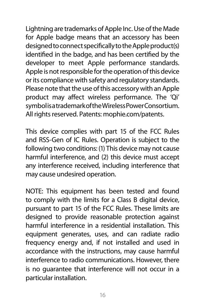Lightning are trademarks of Apple Inc. Use of the Made for Apple badge means that an accessory has been designed to connect specifically to the Apple product(s) identified in the badge, and has been certified by the developer to meet Apple performance standards. Apple is not responsible for the operation of this device or its compliance with safety and regulatory standards. Please note that the use of this accessory with an Apple product may affect wireless performance. The 'Qi' symbol is a trademark of the Wireless Power Consortium. All rights reserved. Patents: [mophie.com/patents.](http://www.mophie.com/patents)

This device complies with part 15 of the FCC Rules and RSS-Gen of IC Rules. Operation is subject to the following two conditions: (1) This device may not cause harmful interference, and (2) this device must accept any interference received, including interference that may cause undesired operation.

NOTE: This equipment has been tested and found to comply with the limits for a Class B digital device, pursuant to part 15 of the FCC Rules. These limits are designed to provide reasonable protection against harmful interference in a residential installation. This equipment generates, uses, and can radiate radio frequency energy and, if not installed and used in accordance with the instructions, may cause harmful interference to radio communications. However, there is no guarantee that interference will not occur in a particular installation.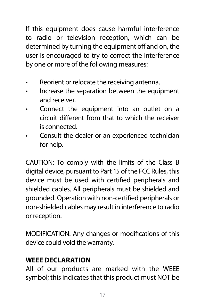If this equipment does cause harmful interference to radio or television reception, which can be determined by turning the equipment off and on, the user is encouraged to try to correct the interference by one or more of the following measures:

- Reorient or relocate the receiving antenna.
- Increase the separation between the equipment and receiver.
- Connect the equipment into an outlet on a circuit different from that to which the receiver is connected.
- Consult the dealer or an experienced technician for help.

CAUTION: To comply with the limits of the Class B digital device, pursuant to Part 15 of the FCC Rules, this device must be used with certified peripherals and shielded cables. All peripherals must be shielded and grounded. Operation with non-certified peripherals or non-shielded cables may result in interference to radio or reception.

MODIFICATION: Any changes or modifications of this device could void the warranty.

#### **WEEE DECLARATION**

All of our products are marked with the WEEE symbol; this indicates that this product must NOT be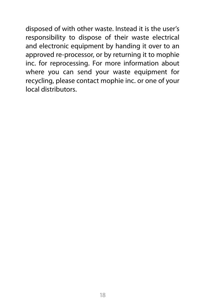disposed of with other waste. Instead it is the user's responsibility to dispose of their waste electrical and electronic equipment by handing it over to an approved re-processor, or by returning it to mophie inc. for reprocessing. For more information about where you can send your waste equipment for recycling, please contact mophie inc. or one of your local distributors.